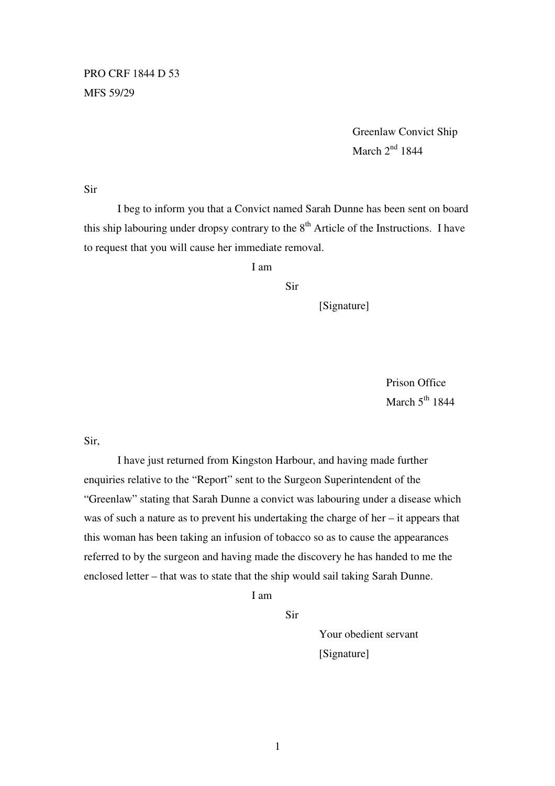PRO CRF 1844 D 53 MFS 59/29

> Greenlaw Convict Ship March  $2<sup>nd</sup> 1844$

Sir

 I beg to inform you that a Convict named Sarah Dunne has been sent on board this ship labouring under dropsy contrary to the  $8<sup>th</sup>$  Article of the Instructions. I have to request that you will cause her immediate removal.

I am

Sir

[Signature]

 Prison Office March  $5<sup>th</sup> 1844$ 

Sir,

 I have just returned from Kingston Harbour, and having made further enquiries relative to the "Report" sent to the Surgeon Superintendent of the "Greenlaw" stating that Sarah Dunne a convict was labouring under a disease which was of such a nature as to prevent his undertaking the charge of her – it appears that this woman has been taking an infusion of tobacco so as to cause the appearances referred to by the surgeon and having made the discovery he has handed to me the enclosed letter – that was to state that the ship would sail taking Sarah Dunne.

I am

Sir

 Your obedient servant [Signature]